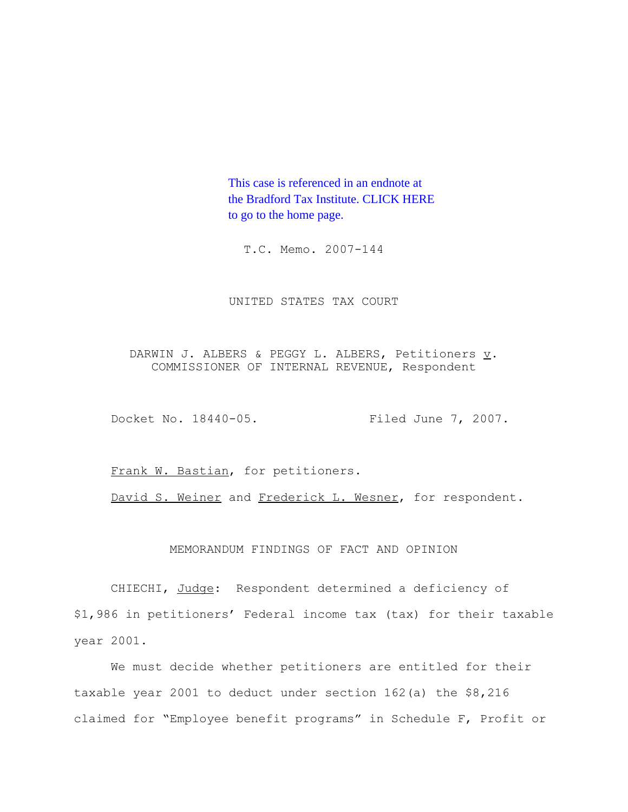This case is referenced in an endnote at [the Bradford Tax Institute. CLICK HERE](http://www.bradfordtaxinstitute.com/)  to go to the home page.

T.C. Memo. 2007-144

UNITED STATES TAX COURT

DARWIN J. ALBERS & PEGGY L. ALBERS, Petitioners  $\underline{v}$ . COMMISSIONER OF INTERNAL REVENUE, Respondent

Docket No. 18440-05. Filed June 7, 2007.

Frank W. Bastian, for petitioners.

David S. Weiner and Frederick L. Wesner, for respondent.

# MEMORANDUM FINDINGS OF FACT AND OPINION

CHIECHI, Judge: Respondent determined a deficiency of \$1,986 in petitioners' Federal income tax (tax) for their taxable year 2001.

We must decide whether petitioners are entitled for their taxable year 2001 to deduct under section 162(a) the \$8,216 claimed for "Employee benefit programs" in Schedule F, Profit or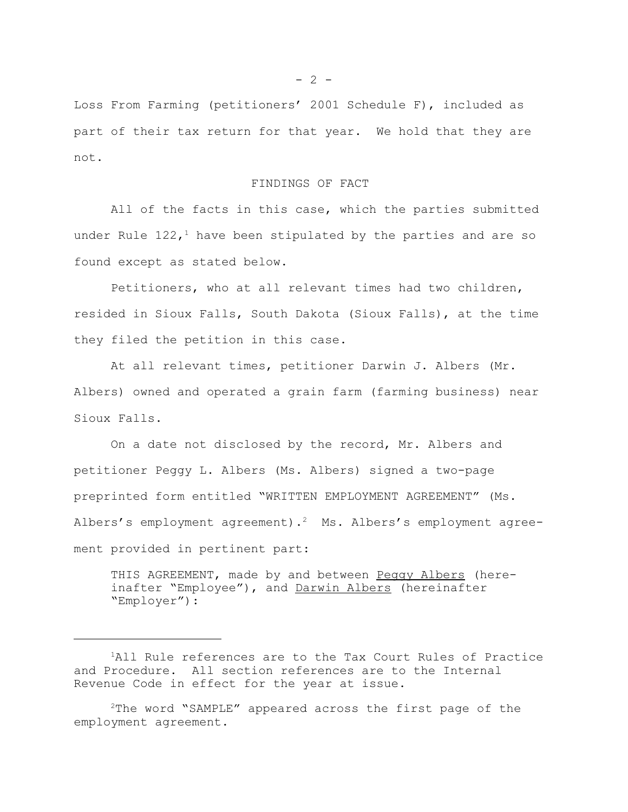Loss From Farming (petitioners' 2001 Schedule F), included as part of their tax return for that year. We hold that they are not.

# FINDINGS OF FACT

All of the facts in this case, which the parties submitted under Rule  $122<sub>1</sub><sup>1</sup>$  have been stipulated by the parties and are so found except as stated below.

Petitioners, who at all relevant times had two children, resided in Sioux Falls, South Dakota (Sioux Falls), at the time they filed the petition in this case.

At all relevant times, petitioner Darwin J. Albers (Mr. Albers) owned and operated a grain farm (farming business) near Sioux Falls.

On a date not disclosed by the record, Mr. Albers and petitioner Peggy L. Albers (Ms. Albers) signed a two-page preprinted form entitled "WRITTEN EMPLOYMENT AGREEMENT" (Ms. Albers's employment agreement).<sup>2</sup> Ms. Albers's employment agreement provided in pertinent part:

THIS AGREEMENT, made by and between Peggy Albers (hereinafter "Employee"), and Darwin Albers (hereinafter "Employer"):

<sup>&</sup>lt;sup>1</sup>All Rule references are to the Tax Court Rules of Practice and Procedure. All section references are to the Internal Revenue Code in effect for the year at issue.

 $2$ The word "SAMPLE" appeared across the first page of the employment agreement.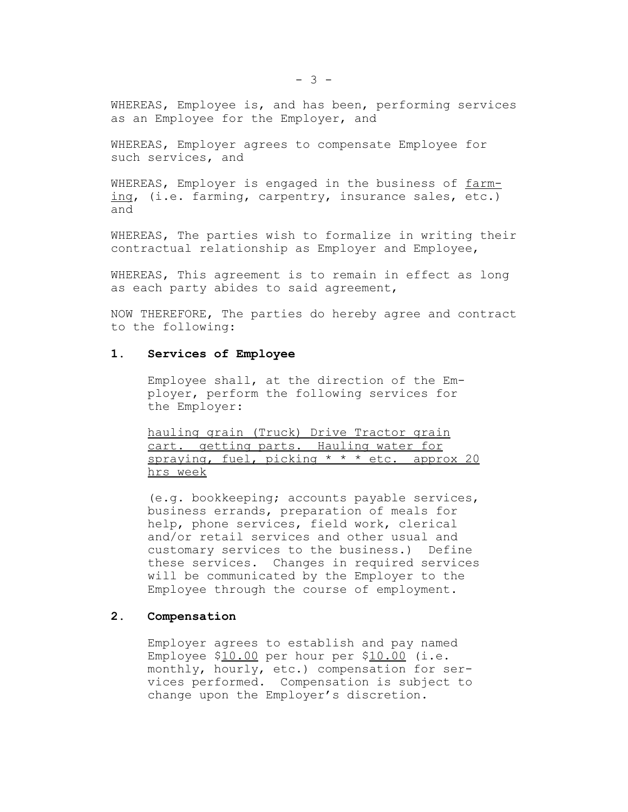WHEREAS, Employee is, and has been, performing services as an Employee for the Employer, and

WHEREAS, Employer agrees to compensate Employee for such services, and

WHEREAS, Employer is engaged in the business of farming, (i.e. farming, carpentry, insurance sales, etc.) and

WHEREAS, The parties wish to formalize in writing their contractual relationship as Employer and Employee,

WHEREAS, This agreement is to remain in effect as long as each party abides to said agreement,

NOW THEREFORE, The parties do hereby agree and contract to the following:

## **1. Services of Employee**

Employee shall, at the direction of the Employer, perform the following services for the Employer:

hauling grain (Truck) Drive Tractor grain cart. getting parts. Hauling water for spraying, fuel, picking  $* * *$  etc. approx 20 hrs week

(e.g. bookkeeping; accounts payable services, business errands, preparation of meals for help, phone services, field work, clerical and/or retail services and other usual and customary services to the business.) Define these services. Changes in required services will be communicated by the Employer to the Employee through the course of employment.

# **2. Compensation**

Employer agrees to establish and pay named Employee \$10.00 per hour per \$10.00 (i.e. monthly, hourly, etc.) compensation for services performed. Compensation is subject to change upon the Employer's discretion.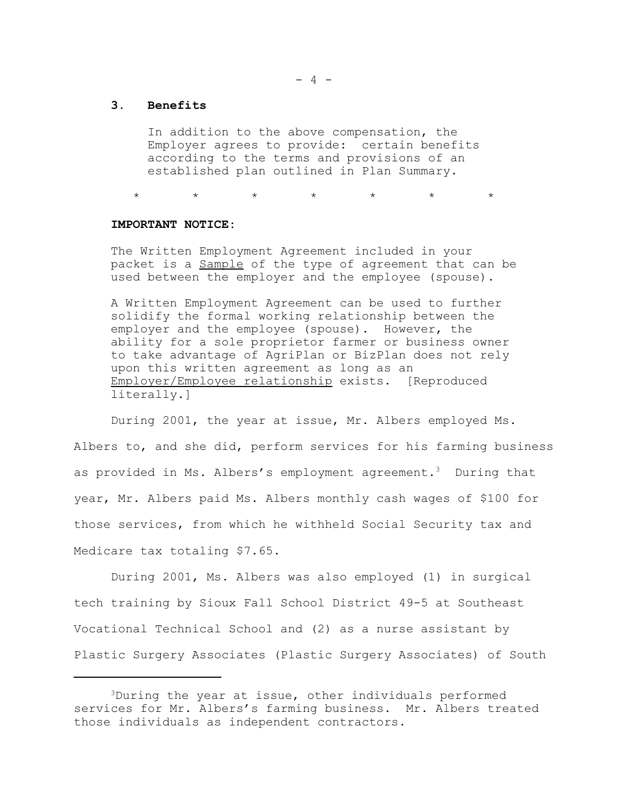- 4 -

## **3. Benefits**

In addition to the above compensation, the Employer agrees to provide: certain benefits according to the terms and provisions of an established plan outlined in Plan Summary.

\* \* \* \* \* \* \*

## **IMPORTANT NOTICE:**

The Written Employment Agreement included in your packet is a Sample of the type of agreement that can be used between the employer and the employee (spouse).

A Written Employment Agreement can be used to further solidify the formal working relationship between the employer and the employee (spouse). However, the ability for a sole proprietor farmer or business owner to take advantage of AgriPlan or BizPlan does not rely upon this written agreement as long as an Employer/Employee relationship exists. [Reproduced literally.]

During 2001, the year at issue, Mr. Albers employed Ms. Albers to, and she did, perform services for his farming business as provided in Ms. Albers's employment agreement.3 During that year, Mr. Albers paid Ms. Albers monthly cash wages of \$100 for those services, from which he withheld Social Security tax and Medicare tax totaling \$7.65.

During 2001, Ms. Albers was also employed (1) in surgical tech training by Sioux Fall School District 49-5 at Southeast Vocational Technical School and (2) as a nurse assistant by Plastic Surgery Associates (Plastic Surgery Associates) of South

<sup>3</sup>During the year at issue, other individuals performed services for Mr. Albers's farming business. Mr. Albers treated those individuals as independent contractors.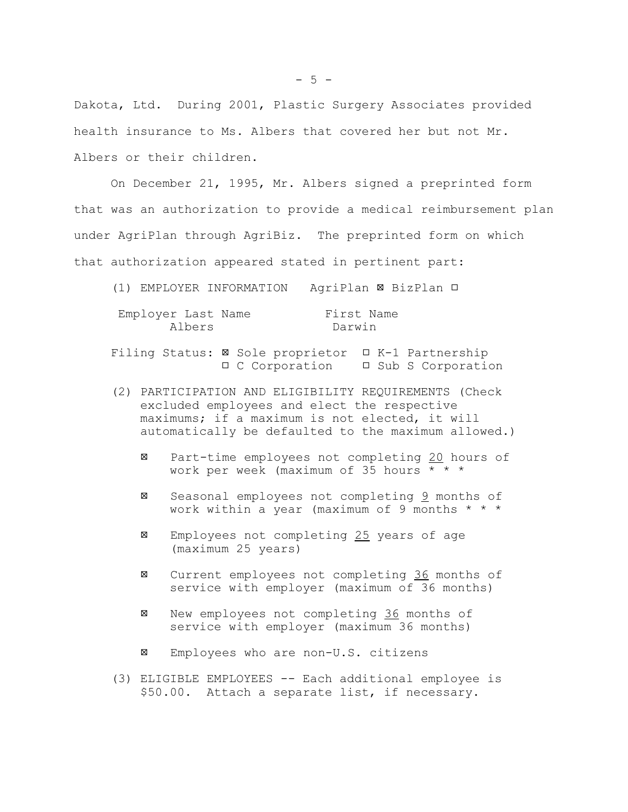Dakota, Ltd. During 2001, Plastic Surgery Associates provided health insurance to Ms. Albers that covered her but not Mr. Albers or their children.

On December 21, 1995, Mr. Albers signed a preprinted form that was an authorization to provide a medical reimbursement plan under AgriPlan through AgriBiz. The preprinted form on which that authorization appeared stated in pertinent part:

(1) EMPLOYER INFORMATION AgriPlan BizPlan

| Employer Last Name | First Name |
|--------------------|------------|
| Albers             | Darwin     |

Filing Status:  $\boxtimes$  Sole proprietor  $\Box$  K-1 Partnership □ C Corporation □ Sub S Corporation

- (2) PARTICIPATION AND ELIGIBILITY REQUIREMENTS (Check excluded employees and elect the respective maximums; if a maximum is not elected, it will automatically be defaulted to the maximum allowed.)
	- Part-time employees not completing 20 hours of work per week (maximum of 35 hours \* \* \*
	- Seasonal employees not completing 9 months of work within a year (maximum of 9 months \* \* \*
	- $\boxtimes$  Employees not completing  $25$  years of age (maximum 25 years)
	- Current employees not completing 36 months of service with employer (maximum of 36 months)
	- New employees not completing 36 months of service with employer (maximum 36 months)
	- Employees who are non-U.S. citizens
- (3) ELIGIBLE EMPLOYEES -- Each additional employee is \$50.00. Attach a separate list, if necessary.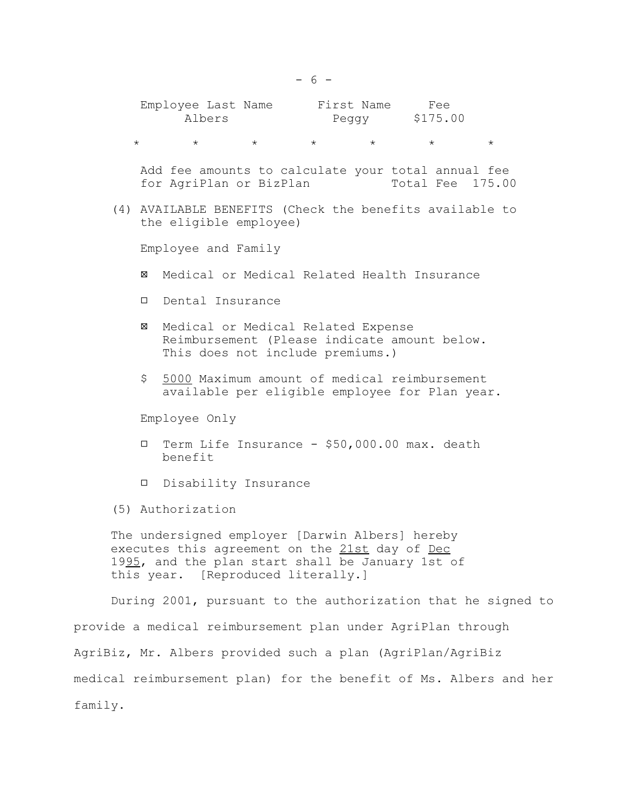| Employee Last Name | First Name | Fee      |
|--------------------|------------|----------|
| Albers             | Peaav      | \$175.00 |

 $\star$   $\star$   $\star$   $\star$   $\star$   $\star$   $\star$ 

 Add fee amounts to calculate your total annual fee for AgriPlan or BizPlan Total Fee 175.00

(4) AVAILABLE BENEFITS (Check the benefits available to the eligible employee)

Employee and Family

- Medical or Medical Related Health Insurance
- Dental Insurance
- Medical or Medical Related Expense Reimbursement (Please indicate amount below. This does not include premiums.)
- \$ 5000 Maximum amount of medical reimbursement available per eligible employee for Plan year.

Employee Only

- Term Life Insurance \$50,000.00 max. death benefit
- Disability Insurance
- (5) Authorization

The undersigned employer [Darwin Albers] hereby executes this agreement on the 21st day of Dec 1995, and the plan start shall be January 1st of this year. [Reproduced literally.]

During 2001, pursuant to the authorization that he signed to provide a medical reimbursement plan under AgriPlan through AgriBiz, Mr. Albers provided such a plan (AgriPlan/AgriBiz medical reimbursement plan) for the benefit of Ms. Albers and her family.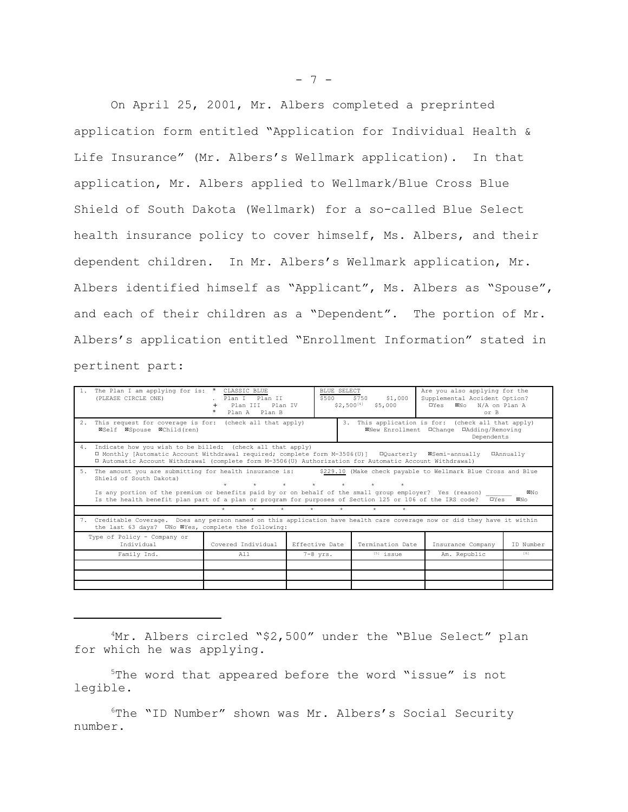On April 25, 2001, Mr. Albers completed a preprinted application form entitled "Application for Individual Health & Life Insurance" (Mr. Albers's Wellmark application). In that application, Mr. Albers applied to Wellmark/Blue Cross Blue Shield of South Dakota (Wellmark) for a so-called Blue Select health insurance policy to cover himself, Ms. Albers, and their dependent children. In Mr. Albers's Wellmark application, Mr. Albers identified himself as "Applicant", Ms. Albers as "Spouse", and each of their children as a "Dependent". The portion of Mr. Albers's application entitled "Enrollment Information" stated in pertinent part:

|                                                                                                                                                                                                                                                                                                                                                                                                                                     | The Plan I am applying for is: *<br>(PLEASE CIRCLE ONE)                                                                                                                                                                                                                                              | CLASSIC BLUE<br>Plan I Plan II<br>Plan III<br>Plan IV<br>Plan A Plan B | \$500          | BLUE SELECT<br>\$1,000<br>\$750<br>\$2,500[4]<br>\$5,000 | Are you also applying for the<br>Supplemental Accident Option?<br>⊠No N/A on Plan A<br><b>O</b> Yes<br>or B  |           |  |
|-------------------------------------------------------------------------------------------------------------------------------------------------------------------------------------------------------------------------------------------------------------------------------------------------------------------------------------------------------------------------------------------------------------------------------------|------------------------------------------------------------------------------------------------------------------------------------------------------------------------------------------------------------------------------------------------------------------------------------------------------|------------------------------------------------------------------------|----------------|----------------------------------------------------------|--------------------------------------------------------------------------------------------------------------|-----------|--|
|                                                                                                                                                                                                                                                                                                                                                                                                                                     | 2. This request for coverage is for: (check all that apply)<br>⊠Self ⊠Spouse ⊠Child(ren)                                                                                                                                                                                                             |                                                                        |                |                                                          | 3. This application is for: (check all that apply)<br>⊠New Enrollment □Change □Adding/Removing<br>Dependents |           |  |
| 4.                                                                                                                                                                                                                                                                                                                                                                                                                                  | Indicate how you wish to be billed: (check all that apply)<br>□ Monthly [Automatic Account Withdrawal required; complete form M-3506(U)] □ □ Quarterly 图Semi-annually<br><b>OAnnually</b><br>I Automatic Account Withdrawal (complete form M-3506(U) Authorization for Automatic Account Withdrawal) |                                                                        |                |                                                          |                                                                                                              |           |  |
| 5.<br>The amount you are submitting for health insurance is:<br>\$229.10 (Make check payable to Wellmark Blue Cross and Blue<br>Shield of South Dakota)<br>$\star$<br>$\star$<br>Is any portion of the premium or benefits paid by or on behalf of the small group employer? Yes (reason)<br>⊠N∩<br>Is the health benefit plan part of a plan or program for purposes of Section 125 or 106 of the IRS code?<br><b>O</b> Yes<br>⊠N∩ |                                                                                                                                                                                                                                                                                                      |                                                                        |                |                                                          |                                                                                                              |           |  |
|                                                                                                                                                                                                                                                                                                                                                                                                                                     | $\Phi$ .<br>$\star$<br>$\star$<br>$\star$<br>$\star$<br>÷.<br>$\star$                                                                                                                                                                                                                                |                                                                        |                |                                                          |                                                                                                              |           |  |
| 7. Creditable Coverage. Does any person named on this application have health care coverage now or did they have it within<br>the last 63 days? ONo XYes, complete the following:                                                                                                                                                                                                                                                   |                                                                                                                                                                                                                                                                                                      |                                                                        |                |                                                          |                                                                                                              |           |  |
|                                                                                                                                                                                                                                                                                                                                                                                                                                     | Type of Policy - Company or<br>Individual                                                                                                                                                                                                                                                            | Covered Individual                                                     | Effective Date | Termination Date                                         | Insurance Company                                                                                            | ID Number |  |
|                                                                                                                                                                                                                                                                                                                                                                                                                                     | Family Ind.                                                                                                                                                                                                                                                                                          | A11                                                                    | $7-8$ $vrs.$   | $[5]$ issue                                              | Am. Republic                                                                                                 | [6]       |  |
|                                                                                                                                                                                                                                                                                                                                                                                                                                     |                                                                                                                                                                                                                                                                                                      |                                                                        |                |                                                          |                                                                                                              |           |  |
|                                                                                                                                                                                                                                                                                                                                                                                                                                     |                                                                                                                                                                                                                                                                                                      |                                                                        |                |                                                          |                                                                                                              |           |  |
|                                                                                                                                                                                                                                                                                                                                                                                                                                     |                                                                                                                                                                                                                                                                                                      |                                                                        |                |                                                          |                                                                                                              |           |  |

<sup>4</sup>Mr. Albers circled "\$2,500" under the "Blue Select" plan for which he was applying.

5The word that appeared before the word "issue" is not legible.

<sup>6</sup>The "ID Number" shown was Mr. Albers's Social Security number.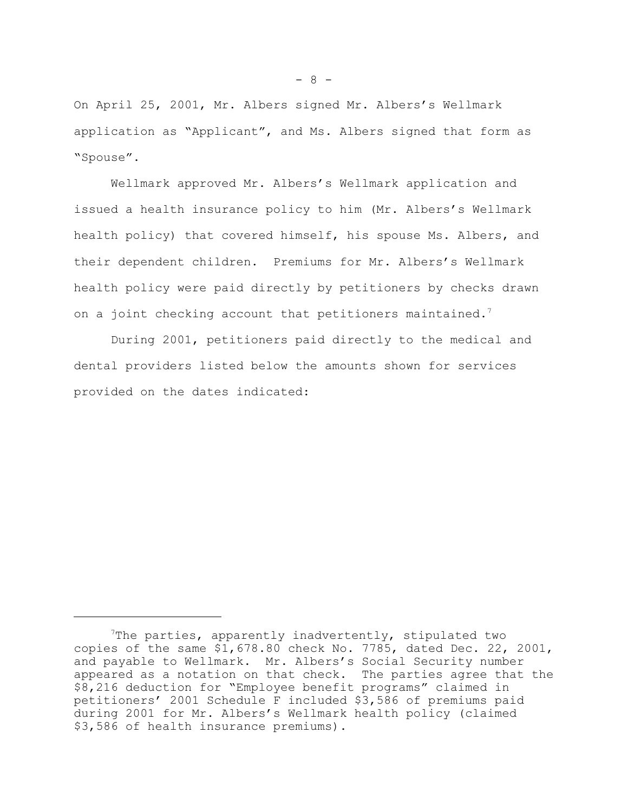On April 25, 2001, Mr. Albers signed Mr. Albers's Wellmark application as "Applicant", and Ms. Albers signed that form as "Spouse".

Wellmark approved Mr. Albers's Wellmark application and issued a health insurance policy to him (Mr. Albers's Wellmark health policy) that covered himself, his spouse Ms. Albers, and their dependent children. Premiums for Mr. Albers's Wellmark health policy were paid directly by petitioners by checks drawn on a joint checking account that petitioners maintained.<sup>7</sup>

During 2001, petitioners paid directly to the medical and dental providers listed below the amounts shown for services provided on the dates indicated:

<sup>7</sup>The parties, apparently inadvertently, stipulated two copies of the same \$1,678.80 check No. 7785, dated Dec. 22, 2001, and payable to Wellmark. Mr. Albers's Social Security number appeared as a notation on that check. The parties agree that the \$8,216 deduction for "Employee benefit programs" claimed in petitioners' 2001 Schedule F included \$3,586 of premiums paid during 2001 for Mr. Albers's Wellmark health policy (claimed \$3,586 of health insurance premiums).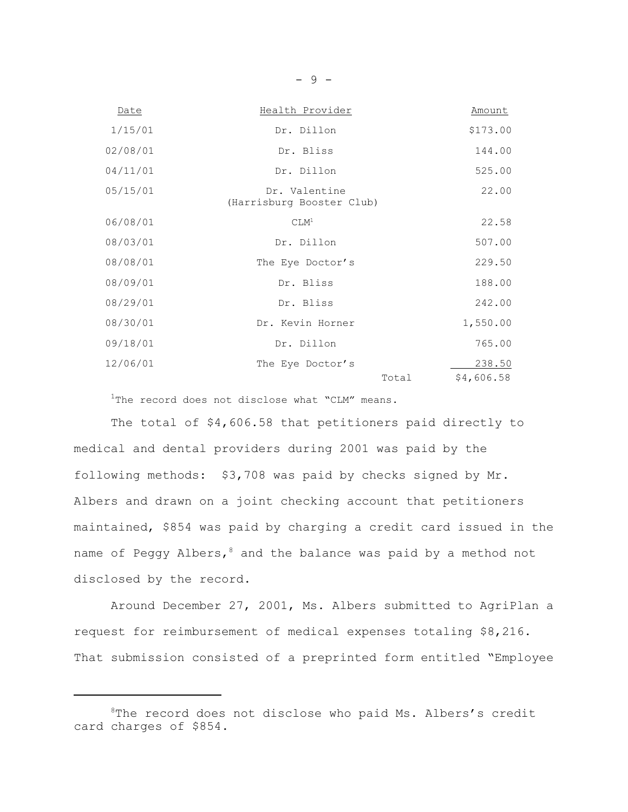| Date     | Health Provider                            | Amount               |
|----------|--------------------------------------------|----------------------|
| 1/15/01  | Dr. Dillon                                 | \$173.00             |
| 02/08/01 | Dr. Bliss                                  | 144.00               |
| 04/11/01 | Dr. Dillon                                 | 525.00               |
| 05/15/01 | Dr. Valentine<br>(Harrisburg Booster Club) | 22.00                |
| 06/08/01 | CLM <sup>1</sup>                           | 22.58                |
| 08/03/01 | Dr. Dillon                                 | 507.00               |
| 08/08/01 | The Eye Doctor's                           | 229.50               |
| 08/09/01 | Dr. Bliss                                  | 188.00               |
| 08/29/01 | Dr. Bliss                                  | 242.00               |
| 08/30/01 | Dr. Kevin Horner                           | 1,550.00             |
| 09/18/01 | Dr. Dillon                                 | 765.00               |
| 12/06/01 | The Eye Doctor's<br>Total                  | 238.50<br>\$4,606.58 |

<sup>1</sup>The record does not disclose what "CLM" means.

The total of \$4,606.58 that petitioners paid directly to medical and dental providers during 2001 was paid by the following methods: \$3,708 was paid by checks signed by Mr. Albers and drawn on a joint checking account that petitioners maintained, \$854 was paid by charging a credit card issued in the name of Peggy Albers,  $8$  and the balance was paid by a method not disclosed by the record.

Around December 27, 2001, Ms. Albers submitted to AgriPlan a request for reimbursement of medical expenses totaling \$8,216. That submission consisted of a preprinted form entitled "Employee

<sup>&</sup>lt;sup>8</sup>The record does not disclose who paid Ms. Albers's credit card charges of \$854.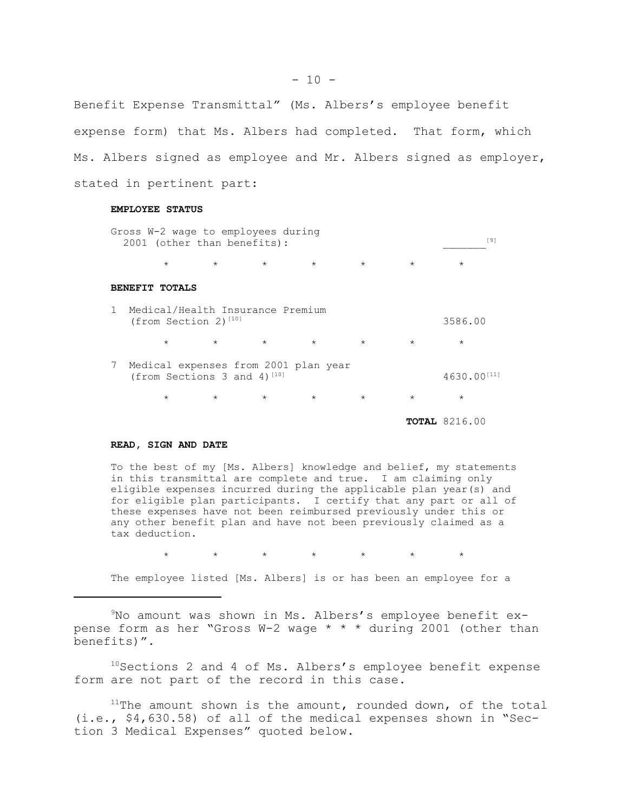Benefit Expense Transmittal" (Ms. Albers's employee benefit expense form) that Ms. Albers had completed. That form, which Ms. Albers signed as employee and Mr. Albers signed as employer, stated in pertinent part:

## **EMPLOYEE STATUS**

|   | Gross W-2 wage to employees during<br>2001 (other than benefits):      |         |                 |         |         |         | [9]                       |
|---|------------------------------------------------------------------------|---------|-----------------|---------|---------|---------|---------------------------|
|   | $\star$                                                                |         | $\star$ $\star$ | $\star$ | $\star$ | $\star$ | $\star$                   |
|   | <b>BENEFIT TOTALS</b>                                                  |         |                 |         |         |         |                           |
|   | 1 Medical/Health Insurance Premium<br>(from Section 2) $1101$          |         |                 |         |         |         | 3586.00                   |
|   | $\star$                                                                | $\star$ | $\star$         | $\star$ | $\star$ | $\star$ | $\star$                   |
| 7 | Medical expenses from 2001 plan year<br>(from Sections 3 and 4) $[10]$ |         |                 |         |         |         | $4630.00$ <sup>[11]</sup> |
|   | $\star$                                                                |         | $\star$ $\star$ | $\star$ | $\star$ | $\star$ | $\star$                   |
|   |                                                                        |         |                 |         |         |         | <b>TOTAL</b> 8216.00      |

#### **READ, SIGN AND DATE**

To the best of my [Ms. Albers] knowledge and belief, my statements in this transmittal are complete and true. I am claiming only eligible expenses incurred during the applicable plan year(s) and for eligible plan participants. I certify that any part or all of these expenses have not been reimbursed previously under this or any other benefit plan and have not been previously claimed as a tax deduction.

 $\star\qquad\qquad\star\qquad\qquad\star\qquad\qquad\star\qquad\qquad\star$ 

The employee listed [Ms. Albers] is or has been an employee for a

9No amount was shown in Ms. Albers's employee benefit expense form as her "Gross W-2 wage \* \* \* during 2001 (other than benefits)".

<sup>10</sup>Sections 2 and 4 of Ms. Albers's employee benefit expense form are not part of the record in this case.

 $11$ The amount shown is the amount, rounded down, of the total (i.e., \$4,630.58) of all of the medical expenses shown in "Section 3 Medical Expenses" quoted below.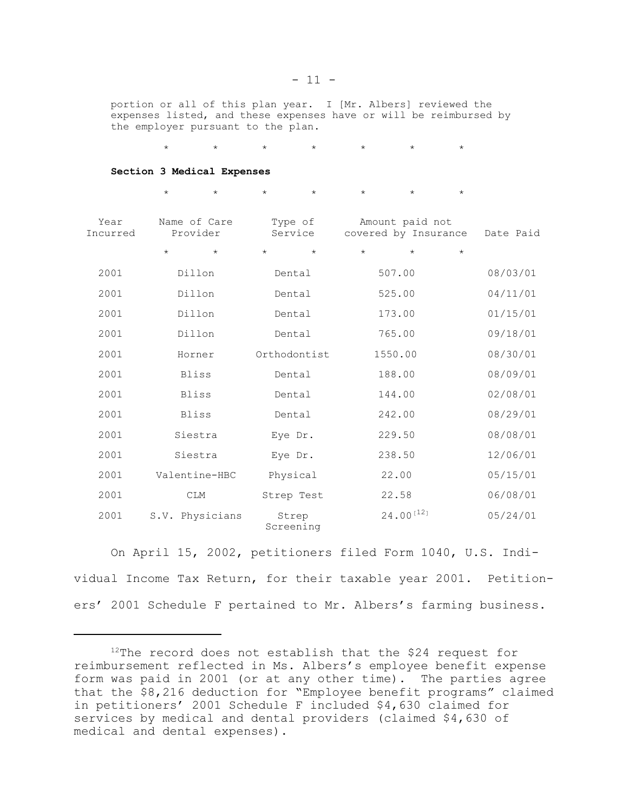portion or all of this plan year. I [Mr. Albers] reviewed the expenses listed, and these expenses have or will be reimbursed by the employer pursuant to the plan.

\* \* \* \* \* \* \*

**Section 3 Medical Expenses**

|                  | $\star$<br>$\star$       | $\star$<br>$\star$ | $\star$<br>$\star$                      | $\star$    |           |
|------------------|--------------------------|--------------------|-----------------------------------------|------------|-----------|
| Year<br>Incurred | Name of Care<br>Provider | Type of<br>Service | Amount paid not<br>covered by Insurance |            | Date Paid |
|                  | $\star$<br>$\star$       | $\star$<br>$\star$ | $\star$<br>$\star$                      | $^{\star}$ |           |
| 2001             | Dillon                   | Dental             | 507.00                                  |            | 08/03/01  |
| 2001             | Dillon                   | Dental             | 525.00                                  |            | 04/11/01  |
| 2001             | Dillon                   | Dental             | 173.00                                  |            | 01/15/01  |
| 2001             | Dillon                   | Dental             | 765.00                                  |            | 09/18/01  |
| 2001             | Horner                   | Orthodontist       | 1550.00                                 |            | 08/30/01  |
| 2001             | <b>Bliss</b>             | Dental             | 188.00                                  |            | 08/09/01  |
| 2001             | <b>Bliss</b>             | Dental             | 144.00                                  |            | 02/08/01  |
| 2001             | <b>Bliss</b>             | Dental             | 242.00                                  |            | 08/29/01  |
| 2001             | Siestra                  | Eye Dr.            | 229.50                                  |            | 08/08/01  |
| 2001             | Siestra                  | Eye Dr.            | 238.50                                  |            | 12/06/01  |
| 2001             | Valentine-HBC            | Physical           | 22.00                                   |            | 05/15/01  |
| 2001             | <b>CLM</b>               | Strep Test         | 22.58                                   |            | 06/08/01  |
| 2001             | S.V. Physicians          | Strep<br>Screening | $24.00^{[12]}$                          |            | 05/24/01  |

On April 15, 2002, petitioners filed Form 1040, U.S. Individual Income Tax Return, for their taxable year 2001. Petitioners' 2001 Schedule F pertained to Mr. Albers's farming business.

 $12$ The record does not establish that the \$24 request for reimbursement reflected in Ms. Albers's employee benefit expense form was paid in 2001 (or at any other time). The parties agree that the \$8,216 deduction for "Employee benefit programs" claimed in petitioners' 2001 Schedule F included \$4,630 claimed for services by medical and dental providers (claimed \$4,630 of medical and dental expenses).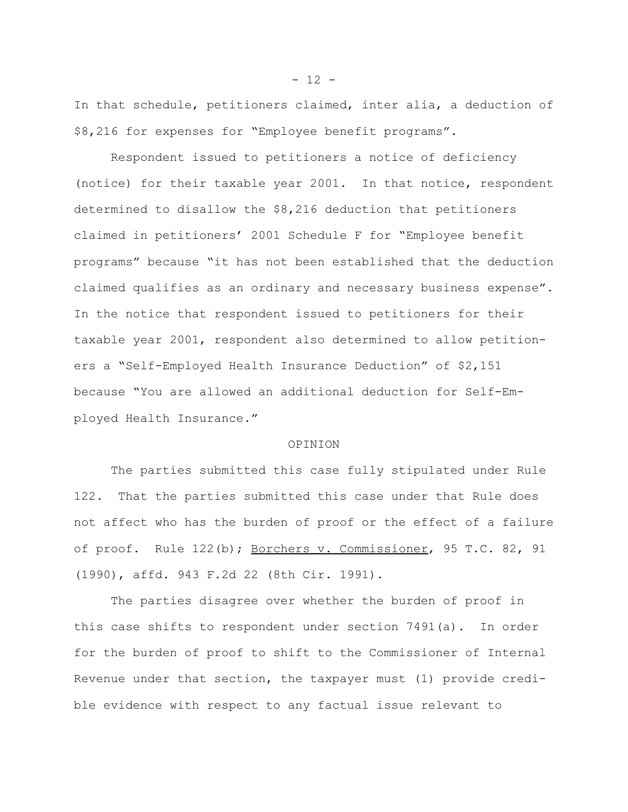In that schedule, petitioners claimed, inter alia, a deduction of \$8,216 for expenses for "Employee benefit programs".

Respondent issued to petitioners a notice of deficiency (notice) for their taxable year 2001. In that notice, respondent determined to disallow the \$8,216 deduction that petitioners claimed in petitioners' 2001 Schedule F for "Employee benefit programs" because "it has not been established that the deduction claimed qualifies as an ordinary and necessary business expense". In the notice that respondent issued to petitioners for their taxable year 2001, respondent also determined to allow petitioners a "Self-Employed Health Insurance Deduction" of \$2,151 because "You are allowed an additional deduction for Self-Employed Health Insurance."

### OPINION

The parties submitted this case fully stipulated under Rule 122. That the parties submitted this case under that Rule does not affect who has the burden of proof or the effect of a failure of proof. Rule 122(b); Borchers v. Commissioner, 95 T.C. 82, 91 (1990), affd. 943 F.2d 22 (8th Cir. 1991).

The parties disagree over whether the burden of proof in this case shifts to respondent under section 7491(a). In order for the burden of proof to shift to the Commissioner of Internal Revenue under that section, the taxpayer must (1) provide credible evidence with respect to any factual issue relevant to

 $- 12 -$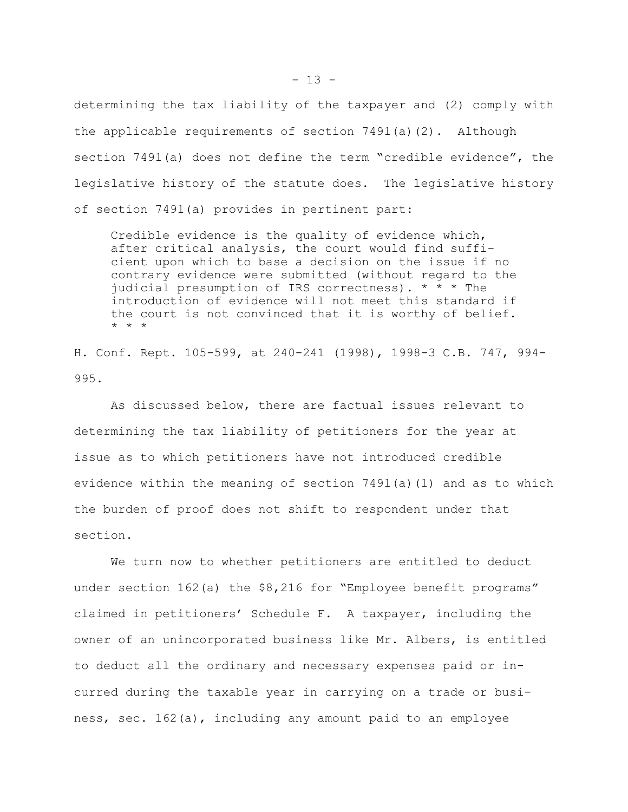determining the tax liability of the taxpayer and (2) comply with the applicable requirements of section 7491(a)(2). Although section 7491(a) does not define the term "credible evidence", the legislative history of the statute does. The legislative history of section 7491(a) provides in pertinent part:

Credible evidence is the quality of evidence which, after critical analysis, the court would find sufficient upon which to base a decision on the issue if no contrary evidence were submitted (without regard to the judicial presumption of IRS correctness). \* \* \* The introduction of evidence will not meet this standard if the court is not convinced that it is worthy of belief. \* \* \*

H. Conf. Rept. 105-599, at 240-241 (1998), 1998-3 C.B. 747, 994- 995.

As discussed below, there are factual issues relevant to determining the tax liability of petitioners for the year at issue as to which petitioners have not introduced credible evidence within the meaning of section 7491(a)(1) and as to which the burden of proof does not shift to respondent under that section.

We turn now to whether petitioners are entitled to deduct under section 162(a) the \$8,216 for "Employee benefit programs" claimed in petitioners' Schedule F. A taxpayer, including the owner of an unincorporated business like Mr. Albers, is entitled to deduct all the ordinary and necessary expenses paid or incurred during the taxable year in carrying on a trade or business, sec. 162(a), including any amount paid to an employee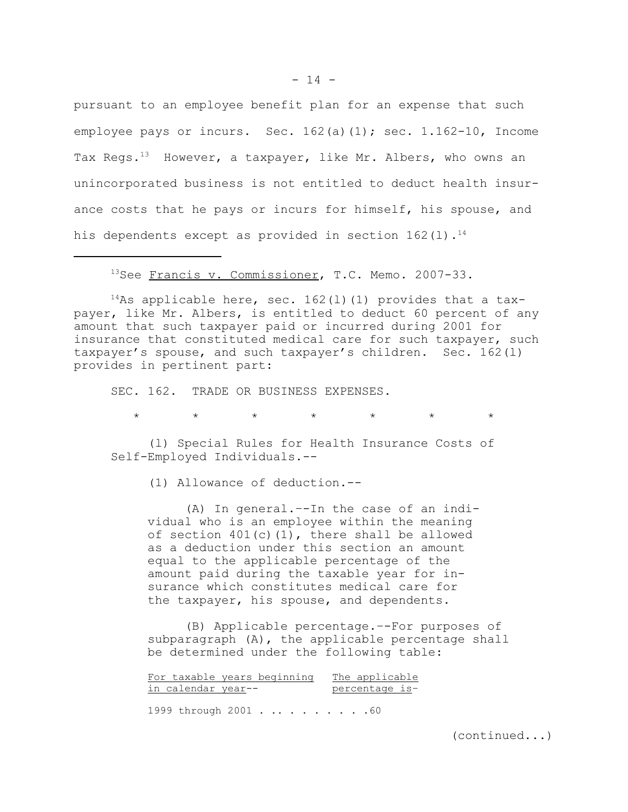pursuant to an employee benefit plan for an expense that such employee pays or incurs. Sec. 162(a)(1); sec. 1.162-10, Income Tax Regs.<sup>13</sup> However, a taxpayer, like Mr. Albers, who owns an unincorporated business is not entitled to deduct health insurance costs that he pays or incurs for himself, his spouse, and his dependents except as provided in section  $162(1)$ .<sup>14</sup>

<sup>13</sup>See Francis v. Commissioner, T.C. Memo. 2007-33.

<sup>14</sup>As applicable here, sec. 162(1)(1) provides that a taxpayer, like Mr. Albers, is entitled to deduct 60 percent of any amount that such taxpayer paid or incurred during 2001 for insurance that constituted medical care for such taxpayer, such taxpayer's spouse, and such taxpayer's children. Sec. 162(l) provides in pertinent part:

SEC. 162. TRADE OR BUSINESS EXPENSES.

\* \* \* \* \* \* \*

(l) Special Rules for Health Insurance Costs of Self-Employed Individuals.--

(1) Allowance of deduction.--

(A) In general.–-In the case of an individual who is an employee within the meaning of section  $401(c)(1)$ , there shall be allowed as a deduction under this section an amount equal to the applicable percentage of the amount paid during the taxable year for insurance which constitutes medical care for the taxpayer, his spouse, and dependents.

(B) Applicable percentage.–-For purposes of subparagraph (A), the applicable percentage shall be determined under the following table:

| For taxable years beginning | The applicable |
|-----------------------------|----------------|
| in calendar year--          | percentage is- |
| 1999 through 2001. 60       |                |

(continued...)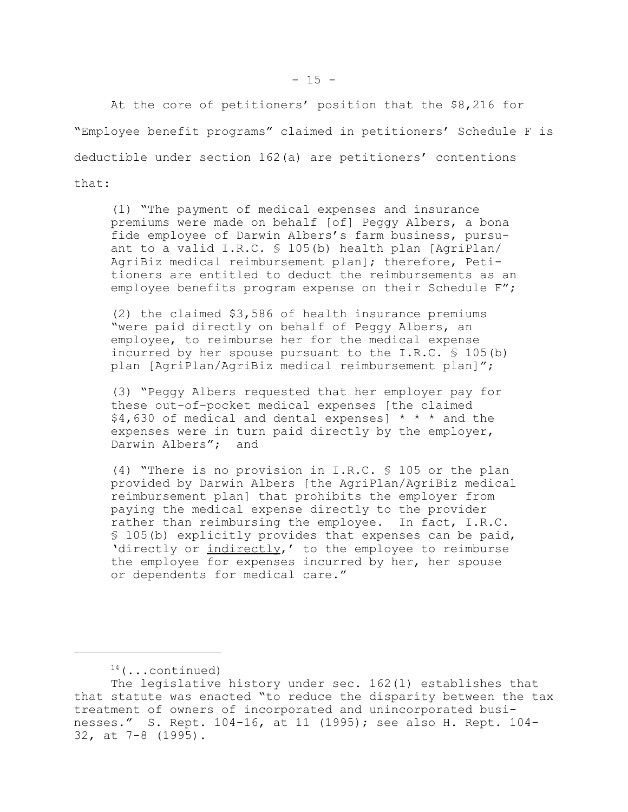At the core of petitioners' position that the \$8,216 for "Employee benefit programs" claimed in petitioners' Schedule F is deductible under section 162(a) are petitioners' contentions that:

(1) "The payment of medical expenses and insurance premiums were made on behalf [of] Peggy Albers, a bona fide employee of Darwin Albers's farm business, pursuant to a valid I.R.C. § 105(b) health plan [AgriPlan/ AgriBiz medical reimbursement plan]; therefore, Petitioners are entitled to deduct the reimbursements as an employee benefits program expense on their Schedule F";

(2) the claimed \$3,586 of health insurance premiums "were paid directly on behalf of Peggy Albers, an employee, to reimburse her for the medical expense incurred by her spouse pursuant to the I.R.C. § 105(b) plan [AgriPlan/AgriBiz medical reimbursement plan]";

(3) "Peggy Albers requested that her employer pay for these out-of-pocket medical expenses [the claimed  $$4,630$  of medical and dental expenses] \* \* \* and the expenses were in turn paid directly by the employer, Darwin Albers"; and

(4) "There is no provision in I.R.C. § 105 or the plan provided by Darwin Albers [the AgriPlan/AgriBiz medical reimbursement plan] that prohibits the employer from paying the medical expense directly to the provider rather than reimbursing the employee. In fact, I.R.C. § 105(b) explicitly provides that expenses can be paid, 'directly or indirectly,' to the employee to reimburse the employee for expenses incurred by her, her spouse or dependents for medical care."

 $14$  (...continued)

The legislative history under sec. 162(l) establishes that that statute was enacted "to reduce the disparity between the tax treatment of owners of incorporated and unincorporated businesses." S. Rept. 104-16, at 11 (1995); see also H. Rept. 104- 32, at 7-8 (1995).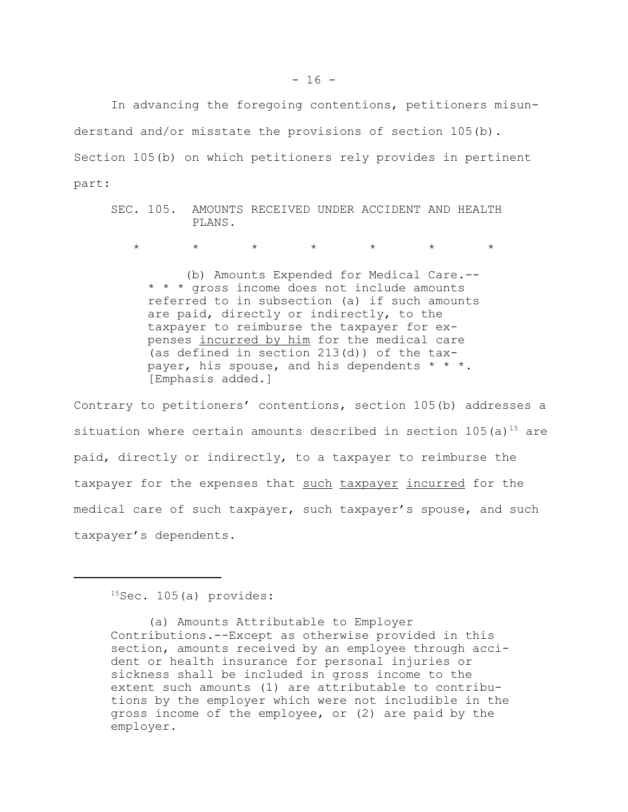In advancing the foregoing contentions, petitioners misunderstand and/or misstate the provisions of section 105(b). Section 105(b) on which petitioners rely provides in pertinent part:

SEC. 105. AMOUNTS RECEIVED UNDER ACCIDENT AND HEALTH PLANS.

\* \* \* \* \* \* \*

(b) Amounts Expended for Medical Care.-- \* \* \* gross income does not include amounts referred to in subsection (a) if such amounts are paid, directly or indirectly, to the taxpayer to reimburse the taxpayer for expenses incurred by him for the medical care (as defined in section 213(d)) of the taxpayer, his spouse, and his dependents \* \* \*. [Emphasis added.]

Contrary to petitioners' contentions, section 105(b) addresses a situation where certain amounts described in section  $105(a)^{15}$  are paid, directly or indirectly, to a taxpayer to reimburse the taxpayer for the expenses that such taxpayer incurred for the medical care of such taxpayer, such taxpayer's spouse, and such taxpayer's dependents.

 $15$ Sec. 105(a) provides:

<sup>(</sup>a) Amounts Attributable to Employer Contributions.--Except as otherwise provided in this section, amounts received by an employee through accident or health insurance for personal injuries or sickness shall be included in gross income to the extent such amounts (1) are attributable to contributions by the employer which were not includible in the gross income of the employee, or (2) are paid by the employer.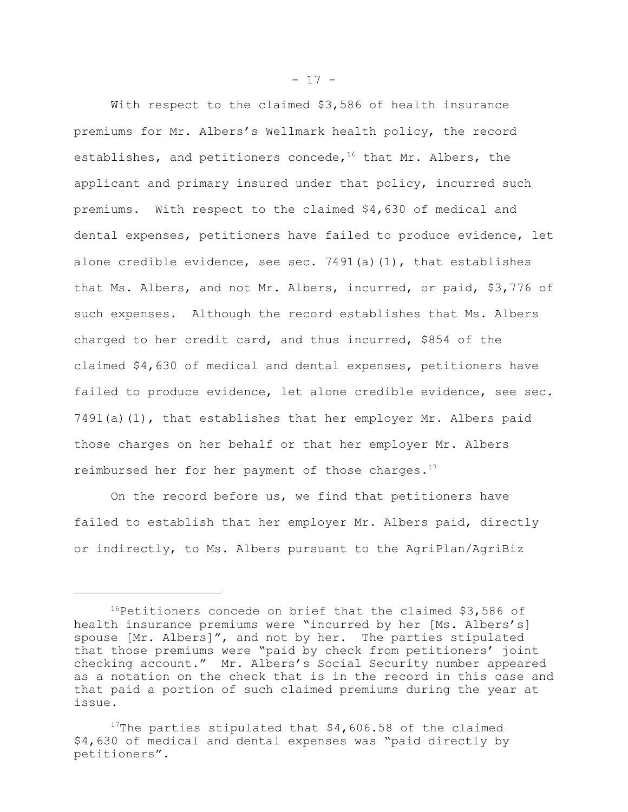With respect to the claimed \$3,586 of health insurance premiums for Mr. Albers's Wellmark health policy, the record establishes, and petitioners concede,  $16$  that Mr. Albers, the applicant and primary insured under that policy, incurred such premiums. With respect to the claimed \$4,630 of medical and dental expenses, petitioners have failed to produce evidence, let alone credible evidence, see sec. 7491(a)(1), that establishes that Ms. Albers, and not Mr. Albers, incurred, or paid, \$3,776 of such expenses. Although the record establishes that Ms. Albers charged to her credit card, and thus incurred, \$854 of the claimed \$4,630 of medical and dental expenses, petitioners have failed to produce evidence, let alone credible evidence, see sec. 7491(a)(1), that establishes that her employer Mr. Albers paid those charges on her behalf or that her employer Mr. Albers reimbursed her for her payment of those charges. $17$ 

On the record before us, we find that petitioners have failed to establish that her employer Mr. Albers paid, directly or indirectly, to Ms. Albers pursuant to the AgriPlan/AgriBiz

 $- 17 -$ 

 $16$ Petitioners concede on brief that the claimed \$3,586 of health insurance premiums were "incurred by her [Ms. Albers's] spouse [Mr. Albers]", and not by her. The parties stipulated that those premiums were "paid by check from petitioners' joint checking account." Mr. Albers's Social Security number appeared as a notation on the check that is in the record in this case and that paid a portion of such claimed premiums during the year at issue.

<sup>&</sup>lt;sup>17</sup>The parties stipulated that  $$4,606.58$  of the claimed \$4,630 of medical and dental expenses was "paid directly by petitioners".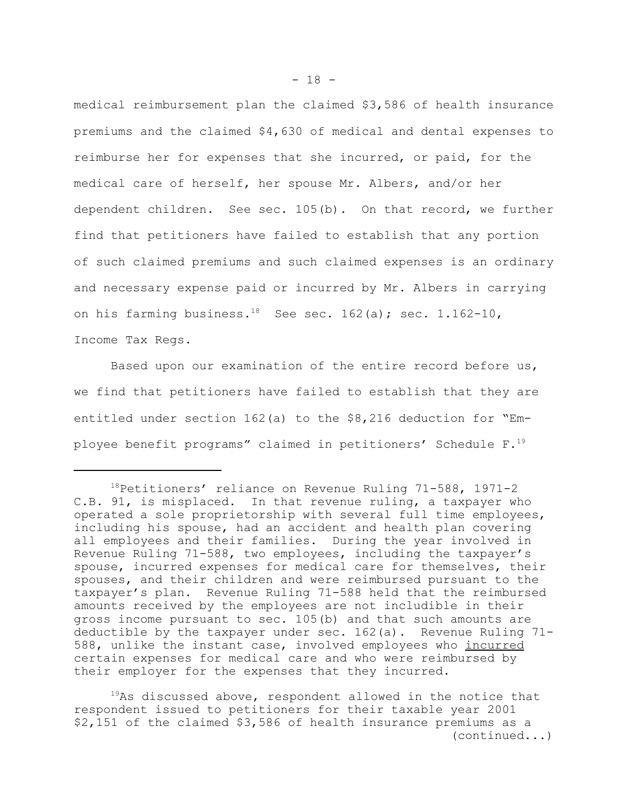medical reimbursement plan the claimed \$3,586 of health insurance premiums and the claimed \$4,630 of medical and dental expenses to reimburse her for expenses that she incurred, or paid, for the medical care of herself, her spouse Mr. Albers, and/or her dependent children. See sec. 105(b). On that record, we further find that petitioners have failed to establish that any portion of such claimed premiums and such claimed expenses is an ordinary and necessary expense paid or incurred by Mr. Albers in carrying on his farming business.<sup>18</sup> See sec. 162(a); sec. 1.162-10,

Income Tax Regs.

Based upon our examination of the entire record before us, we find that petitioners have failed to establish that they are entitled under section 162(a) to the \$8,216 deduction for "Employee benefit programs" claimed in petitioners' Schedule F.<sup>19</sup>

<sup>&</sup>lt;sup>18</sup>Petitioners' reliance on Revenue Ruling 71-588, 1971-2 C.B. 91, is misplaced. In that revenue ruling, a taxpayer who operated a sole proprietorship with several full time employees, including his spouse, had an accident and health plan covering all employees and their families. During the year involved in Revenue Ruling 71-588, two employees, including the taxpayer's spouse, incurred expenses for medical care for themselves, their spouses, and their children and were reimbursed pursuant to the taxpayer's plan. Revenue Ruling 71-588 held that the reimbursed amounts received by the employees are not includible in their gross income pursuant to sec. 105(b) and that such amounts are deductible by the taxpayer under sec. 162(a). Revenue Ruling 71- 588, unlike the instant case, involved employees who incurred certain expenses for medical care and who were reimbursed by their employer for the expenses that they incurred.

 $19As$  discussed above, respondent allowed in the notice that respondent issued to petitioners for their taxable year 2001 \$2,151 of the claimed \$3,586 of health insurance premiums as a (continued...)